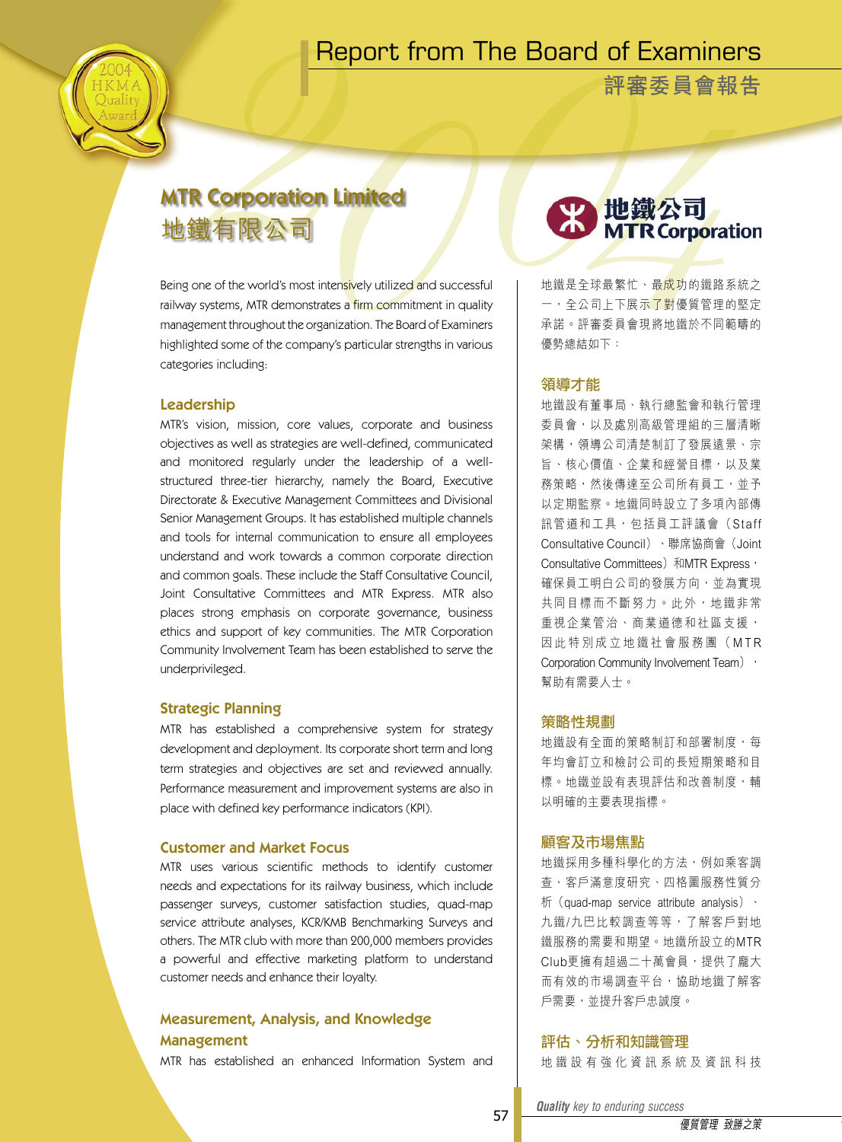## Report from The Board of Examiners

**評審委員會報告**

## MTR Corporation Limited 地鐵有限公司

Being one of the world's most intensively utilized and successful railway systems, MTR demonstrates a firm commitment in quality management throughout the organization. The Board of Examiners highlighted some of the company's particular strengths in various categories including:

#### Leadership

MTR's vision, mission, core values, corporate and business objectives as well as strategies are well-defined, communicated and monitored regularly under the leadership of a wellstructured three-tier hierarchy, namely the Board, Executive Directorate & Executive Management Committees and Divisional Senior Management Groups. It has established multiple channels and tools for internal communication to ensure all employees understand and work towards a common corporate direction and common goals. These include the Staff Consultative Council, Joint Consultative Committees and MTR Express. MTR also places strong emphasis on corporate governance, business ethics and support of key communities. The MTR Corporation Community Involvement Team has been established to serve the underprivileged.

#### Strategic Planning

MTR has established a comprehensive system for strategy development and deployment. Its corporate short term and long term strategies and objectives are set and reviewed annually. Performance measurement and improvement systems are also in place with defined key performance indicators (KPI).

#### Customer and Market Focus

MTR uses various scientific methods to identify customer needs and expectations for its railway business, which include passenger surveys, customer satisfaction studies, quad-map service attribute analyses, KCR/KMB Benchmarking Surveys and others. The MTR club with more than 200,000 members provides a powerful and effective marketing platform to understand customer needs and enhance their loyalty.

#### Measurement, Analysis, and Knowledge Management

MTR has established an enhanced Information System and

# 2 地鐵公司<br>MTRCorporation

地鐵是全球最繁忙、最成功的鐵路系統之 一,全公司上下展示了對優質管理的堅定 承諾。評審委員會現將地鐵於不同範疇的 優勢總結如下:

#### 領導才能

地鐵設有董事局、執行總監會和執行管理 委員會,以及處別高級管理組的三層清晰 架構,領導公司清楚制訂了發展遠景、宗 旨、核心價值、企業和經營目標,以及業 務策略,然後傳達至公司所有員工,並予 以定期監察。地鐵同時設立了多項內部傳 訊管道和工具,包括員工評議會(Staff Consultative Council)、聯席協商會(Joint Consultative Committees) 和MTR Express, 確保員工明白公司的發展方向,並為實現 共同目標而不斷努力。此外,地鐵非常 重視企業管治、商業道德和社區支援, 因 此 特 別 成 立 地 鐵 社 會 服 務 團 ( M T R Corporation Community Involvement Team) , 幫助有需要人士。

#### 策略性規劃

**地鐵設有全面的策略制訂和部署制度,每** 年均會訂立和檢討公司的長短期策略和目 標。地鐵並設有表現評估和改善制度,輔 以明確的主要表現指標。

#### 顧客及市場焦點

地鐵採用多種科學化的方法,例如乘客調 查、客戶滿意度研究、四格圖服務性質分 析(quad-map service attribute analysis)、 九鐵/九巴比較調查等等,了解客戶對地 鐵服務的需要和期望。地鐵所設立的MTR Club更擁有超過二十萬會員,提供了龐大 而有效的市場調查平台,協助地鐵了解客 戶需要,並提升客戶忠誠度。

#### 評估、分析和知識管理

地 鐵 設 有 強 化 資 訊 系 統 及 資 訊 科 技

*Quality key to enduring success Quality key to enduring success*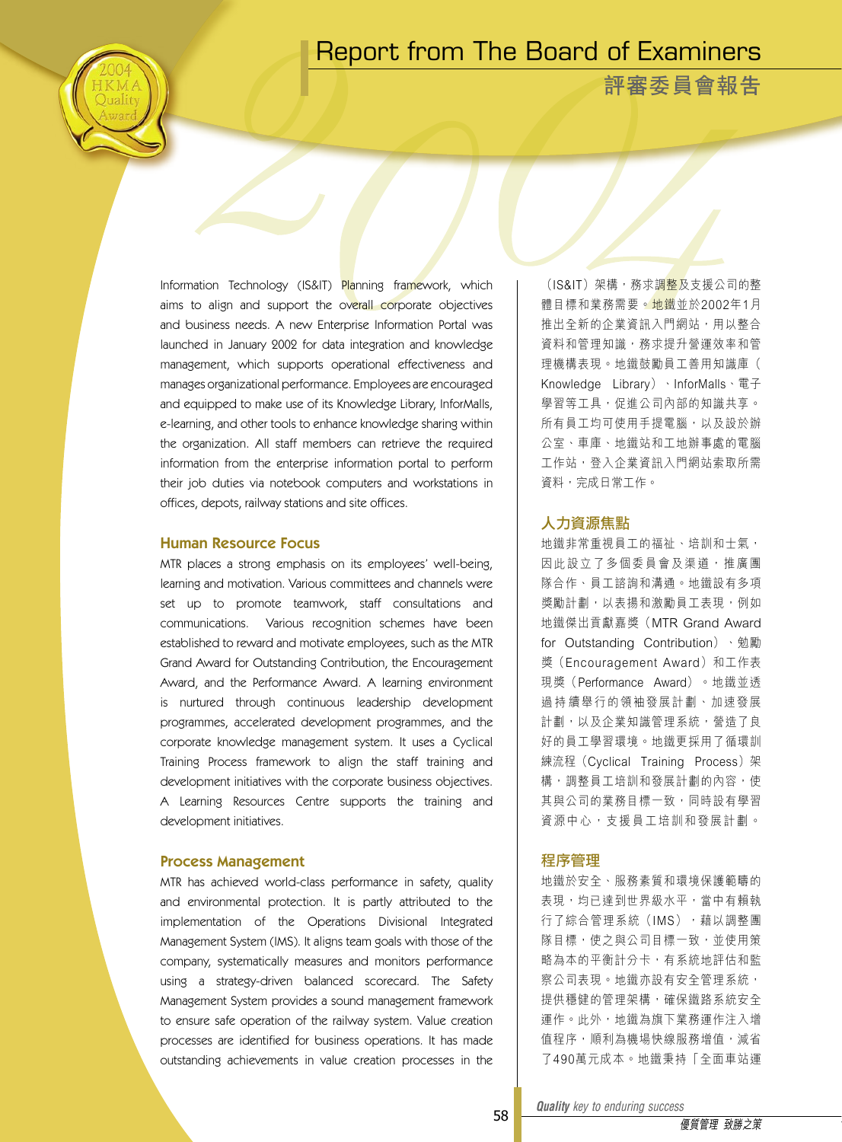### Report from The Board of Examiners

**評審委員會報告**

Information Technology (IS&IT) Planning framework, which aims to align and support the overall corporate objectives and business needs. A new Enterprise Information Portal was launched in January 2002 for data integration and knowledge management, which supports operational effectiveness and manages organizational performance. Employees are encouraged and equipped to make use of its Knowledge Library, InforMalls, e-learning, and other tools to enhance knowledge sharing within the organization. All staff members can retrieve the required information from the enterprise information portal to perform their job duties via notebook computers and workstations in offices, depots, railway stations and site offices.

#### Human Resource Focus

MTR places a strong emphasis on its employees' well-being, learning and motivation. Various committees and channels were set up to promote teamwork, staff consultations and communications. Various recognition schemes have been established to reward and motivate employees, such as the MTR Grand Award for Outstanding Contribution, the Encouragement Award, and the Performance Award. A learning environment is nurtured through continuous leadership development programmes, accelerated development programmes, and the corporate knowledge management system. It uses a Cyclical Training Process framework to align the staff training and development initiatives with the corporate business objectives. A Learning Resources Centre supports the training and development initiatives.

#### Process Management

MTR has achieved world-class performance in safety, quality and environmental protection. It is partly attributed to the implementation of the Operations Divisional Integrated Management System (IMS). It aligns team goals with those of the company, systematically measures and monitors performance using a strategy-driven balanced scorecard. The Safety Management System provides a sound management framework to ensure safe operation of the railway system. Value creation processes are identified for business operations. It has made outstanding achievements in value creation processes in the

(IS&IT)架構,務求調整及支援公司的整 體目標和業務需要。地鐵並於2002年1月 推出全新的企業資訊入門網站,用以整合 資料和管理知識,務求提升營運效率和管 理機構表現。地鐵鼓勵員工善用知識庫( Knowledge Library)、InforMalls、電子 學習等工具,促進公司內部的知識共享。 所有員工均可使用手提電腦, 以及設於辦 公室、車庫、地鐵站和工地辦事處的電腦 工作站,登入企業資訊入門網站索取所需 資料,完成日常工作。

#### 人力資源焦點

地鐵非常重視員工的福祉、培訓和士氣, 因此設立了多個委員會及渠道,推廣團 隊合作、員工諮詢和溝通。地鐵設有多項 獎勵計劃,以表揚和激勵員工表現,例如 地鐵傑出貢獻嘉獎(MTR Grand Award for Outstanding Contribution)、勉勵 獎 (Encouragement Award) 和工作表 現獎(Performance Award)。地鐵並透 過 持 續舉行的領袖發展計劃、加速發展 計劃,以及企業知識管理系統,營造了良 好的員工學習環境。地鐵更採用了循環訓 練流程(Cyclical Training Process)架 構,調整員工培訓和發展計劃的內容,使 其與公司的業務目標一致,同時設有學習 資源中心, 支援員工培訓和發展計劃。

#### 程序管理

地鐵於安全、服務素質和環境保護範疇的 表現,均已達到世界級水平,當中有賴執 行了綜合管理系統(IMS),藉以調整團 隊目標,使之與公司目標一致,並使用策 略為本的平衡計分卡,有系統地評估和監 察公司表現。地鐵亦設有安全管理系統, 提供穩健的管理架構,確保鐵路系統安全 運作。此外,地鐵為旗下業務運作注入增 值程序,順利為機場快線服務增值,減省 了490萬元成本。地鐵秉持「全面車站運

*Quality key to enduring success Quality key to enduring success*